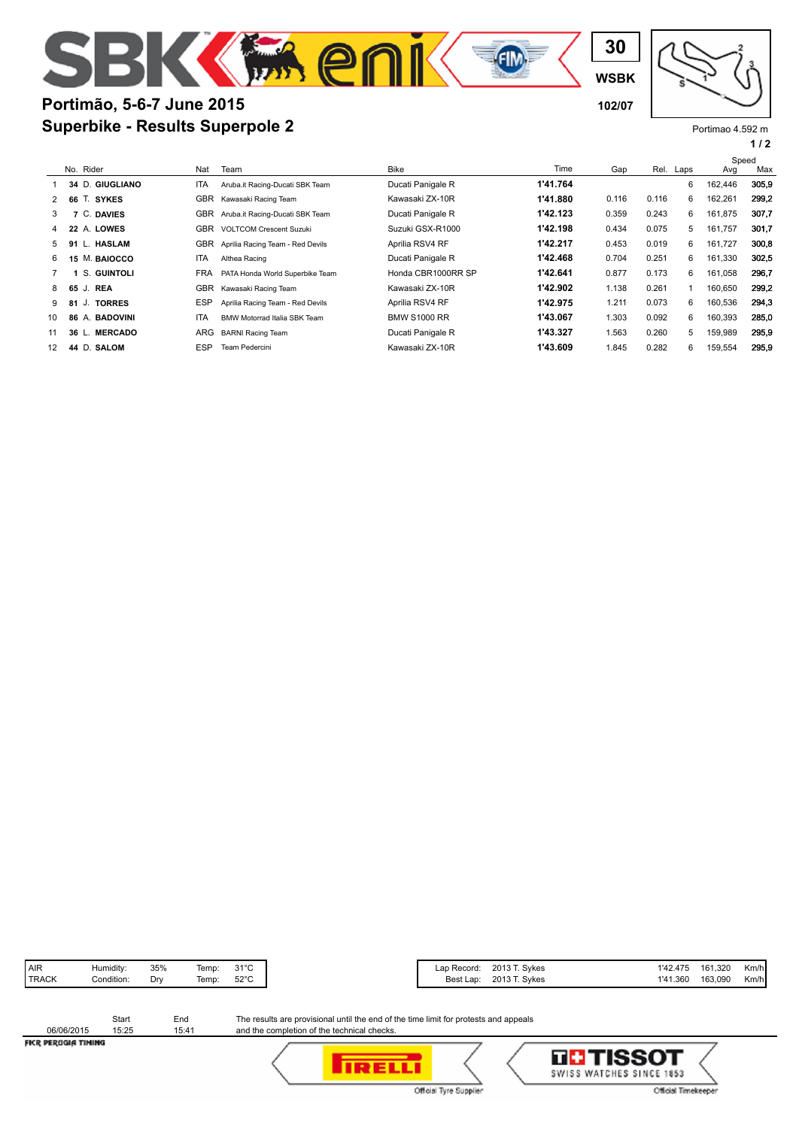## **Superbike - Results Superpole 2 Portimão, 5-6-7 June 2015 102/07**

Portimao 4.592 m

**WSBK**

**30**

**EIM** 

|--|--|--|--|--|

|                   |                         |            |                                  |                     |          |       |       |           | Speed   |       |
|-------------------|-------------------------|------------|----------------------------------|---------------------|----------|-------|-------|-----------|---------|-------|
|                   | No. Rider               | Nat        | Team                             | <b>Bike</b>         | Time     | Gap   |       | Rel. Laps | Avg     | Max   |
|                   | 34 D. GIUGLIANO         | ITA        | Aruba.it Racing-Ducati SBK Team  | Ducati Panigale R   | 1'41.764 |       |       | 6         | 162,446 | 305.9 |
| 2                 | 66 T. SYKES             | <b>GBR</b> | Kawasaki Racing Team             | Kawasaki ZX-10R     | 1'41.880 | 0.116 | 0.116 | 6         | 162,261 | 299.2 |
| 3                 | C. DAVIES               | GBR        | Aruba.it Racing-Ducati SBK Team  | Ducati Panigale R   | 1'42.123 | 0.359 | 0.243 | 6         | 161,875 | 307,7 |
| 4                 | 22 A. LOWES             | <b>GBR</b> | <b>VOLTCOM Crescent Suzuki</b>   | Suzuki GSX-R1000    | 1'42.198 | 0.434 | 0.075 | 5         | 161.757 | 301,7 |
| 5                 | L. HASLAM<br>91         | <b>GBR</b> | Aprilia Racing Team - Red Devils | Aprilia RSV4 RF     | 1'42.217 | 0.453 | 0.019 | 6         | 161,727 | 300,8 |
| 6                 | M. BAIOCCO<br>15        | ITA        | Althea Racing                    | Ducati Panigale R   | 1'42.468 | 0.704 | 0.251 | 6         | 161,330 | 302,5 |
|                   | S. GUINTOLI             | <b>FRA</b> | PATA Honda World Superbike Team  | Honda CBR1000RR SP  | 1'42.641 | 0.877 | 0.173 | 6         | 161,058 | 296,7 |
| 8                 | 65 J.<br><b>REA</b>     | <b>GBR</b> | Kawasaki Racing Team             | Kawasaki ZX-10R     | 1'42.902 | 1.138 | 0.261 |           | 160.650 | 299.2 |
| 9                 | J. TORRES<br>81         | <b>ESP</b> | Aprilia Racing Team - Red Devils | Aprilia RSV4 RF     | 1'42.975 | 1.211 | 0.073 | 6         | 160,536 | 294,3 |
| 10                | 86 A. BADOVINI          | ITA        | BMW Motorrad Italia SBK Team     | <b>BMW S1000 RR</b> | 1'43.067 | 1.303 | 0.092 | 6         | 160,393 | 285,0 |
| 11                | <b>MERCADO</b><br>36 L. | ARG        | <b>BARNI Racing Team</b>         | Ducati Panigale R   | 1'43.327 | 1.563 | 0.260 | 5         | 159,989 | 295.9 |
| $12 \overline{ }$ | 44 D. SALOM             | <b>ESP</b> | Team Pedercini                   | Kawasaki ZX-10R     | 1'43.609 | 1.845 | 0.282 | 6         | 159,554 | 295.9 |

**Mer** 

| 2013 T. Sykes<br>Lap Record:<br>Best Lap: |               | 1'41.360 | 161,320<br>1'42.475<br>163,090 |
|-------------------------------------------|---------------|----------|--------------------------------|
|                                           | 2013 T. Sykes |          |                                |

|                     | Start | Fnd   |
|---------------------|-------|-------|
| 06/06/2015          | 15:25 | 15:41 |
| ELCO DEDUCIA TILINA |       |       |

The results are provisional until the end of the time limit for protests and appeals and the completion of the technical checks.

FICR PERUGIA TIMING

**TRELLI** Official Tyre Supplier

| LILITISSOT<br>SWISS WATCHES SINCE 1853 |  |
|----------------------------------------|--|
| Official Timekeeper                    |  |